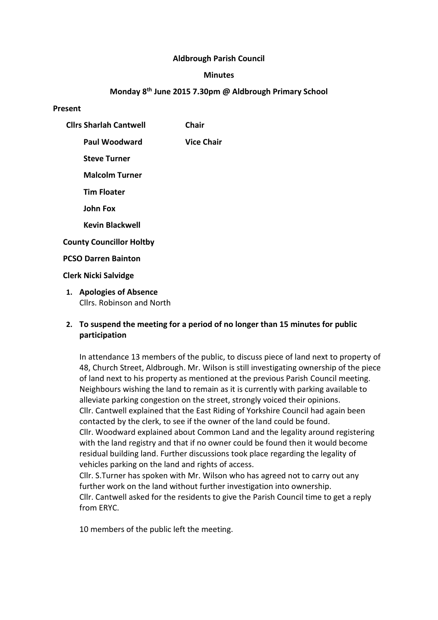### **Aldbrough Parish Council**

#### **Minutes**

### **Monday 8th June 2015 7.30pm @ Aldbrough Primary School**

#### **Present**

- **Cllrs Sharlah Cantwell Chair**
	- **Paul Woodward Vice Chair**
		- **Steve Turner**
		- **Malcolm Turner**
		- **Tim Floater**
		- **John Fox**
		- **Kevin Blackwell**

# **County Councillor Holtby**

## **PCSO Darren Bainton**

## **Clerk Nicki Salvidge**

**1. Apologies of Absence** Cllrs. Robinson and North

# **2. To suspend the meeting for a period of no longer than 15 minutes for public participation**

In attendance 13 members of the public, to discuss piece of land next to property of 48, Church Street, Aldbrough. Mr. Wilson is still investigating ownership of the piece of land next to his property as mentioned at the previous Parish Council meeting. Neighbours wishing the land to remain as it is currently with parking available to alleviate parking congestion on the street, strongly voiced their opinions. Cllr. Cantwell explained that the East Riding of Yorkshire Council had again been contacted by the clerk, to see if the owner of the land could be found. Cllr. Woodward explained about Common Land and the legality around registering with the land registry and that if no owner could be found then it would become residual building land. Further discussions took place regarding the legality of vehicles parking on the land and rights of access.

Cllr. S.Turner has spoken with Mr. Wilson who has agreed not to carry out any further work on the land without further investigation into ownership. Cllr. Cantwell asked for the residents to give the Parish Council time to get a reply from ERYC.

10 members of the public left the meeting.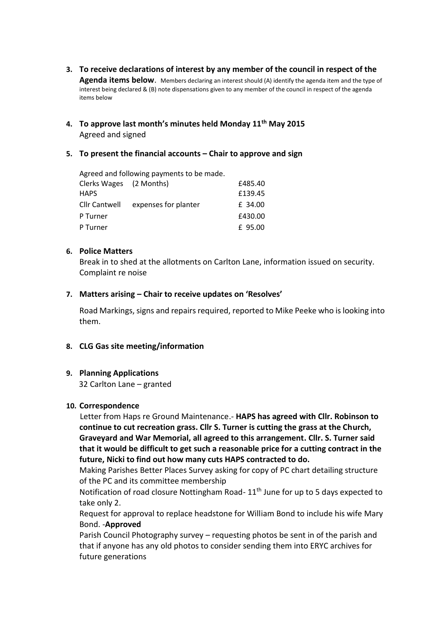- **3. To receive declarations of interest by any member of the council in respect of the Agenda items below**. Members declaring an interest should (A) identify the agenda item and the type of interest being declared & (B) note dispensations given to any member of the council in respect of the agenda items below
- **4. To approve last month's minutes held Monday 11th May 2015** Agreed and signed

## **5. To present the financial accounts – Chair to approve and sign**

Agreed and following payments to be made. Clerks Wages (2 Months) £485.40 HAPS £139.45

|          | Cllr Cantwell expenses for planter | £ 34.00 |
|----------|------------------------------------|---------|
| P Turner |                                    | £430.00 |
| P Turner |                                    | £ 95.00 |

## **6. Police Matters**

Break in to shed at the allotments on Carlton Lane, information issued on security. Complaint re noise

#### **7. Matters arising – Chair to receive updates on 'Resolves'**

Road Markings, signs and repairs required, reported to Mike Peeke who is looking into them.

# **8. CLG Gas site meeting/information**

# **9. Planning Applications**

32 Carlton Lane – granted

#### **10. Correspondence**

Letter from Haps re Ground Maintenance.- **HAPS has agreed with Cllr. Robinson to continue to cut recreation grass. Cllr S. Turner is cutting the grass at the Church, Graveyard and War Memorial, all agreed to this arrangement. Cllr. S. Turner said that it would be difficult to get such a reasonable price for a cutting contract in the future, Nicki to find out how many cuts HAPS contracted to do.**

Making Parishes Better Places Survey asking for copy of PC chart detailing structure of the PC and its committee membership

Notification of road closure Nottingham Road- 11<sup>th</sup> June for up to 5 days expected to take only 2.

Request for approval to replace headstone for William Bond to include his wife Mary Bond. -**Approved**

Parish Council Photography survey – requesting photos be sent in of the parish and that if anyone has any old photos to consider sending them into ERYC archives for future generations